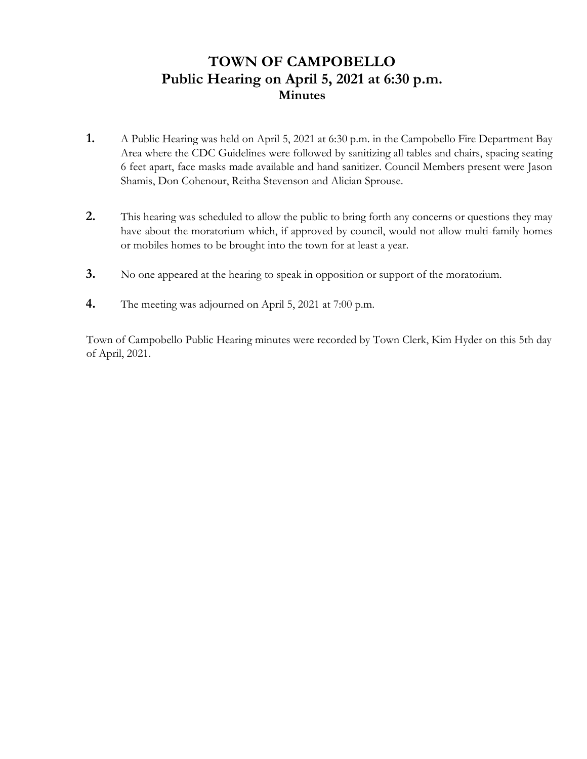## **TOWN OF CAMPOBELLO Public Hearing on April 5, 2021 at 6:30 p.m. Minutes**

- **1.** A Public Hearing was held on April 5, 2021 at 6:30 p.m. in the Campobello Fire Department Bay Area where the CDC Guidelines were followed by sanitizing all tables and chairs, spacing seating 6 feet apart, face masks made available and hand sanitizer. Council Members present were Jason Shamis, Don Cohenour, Reitha Stevenson and Alician Sprouse.
- **2.** This hearing was scheduled to allow the public to bring forth any concerns or questions they may have about the moratorium which, if approved by council, would not allow multi-family homes or mobiles homes to be brought into the town for at least a year.
- **3.** No one appeared at the hearing to speak in opposition or support of the moratorium.
- **4.** The meeting was adjourned on April 5, 2021 at 7:00 p.m.

 Town of Campobello Public Hearing minutes were recorded by Town Clerk, Kim Hyder on this 5th day of April, 2021.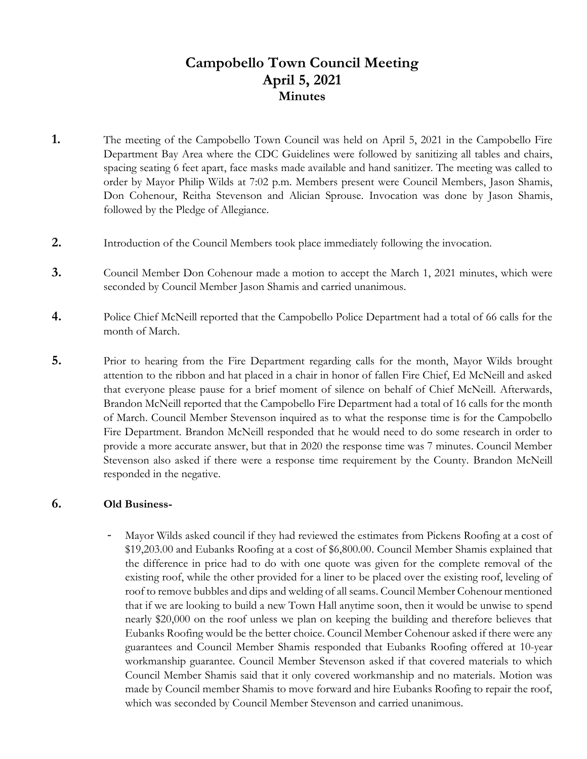# **Campobello Town Council Meeting April 5, 2021 Minutes**

- **1.** The meeting of the Campobello Town Council was held on April 5, 2021 in the Campobello Fire Department Bay Area where the CDC Guidelines were followed by sanitizing all tables and chairs, spacing seating 6 feet apart, face masks made available and hand sanitizer. The meeting was called to order by Mayor Philip Wilds at 7:02 p.m. Members present were Council Members, Jason Shamis, Don Cohenour, Reitha Stevenson and Alician Sprouse. Invocation was done by Jason Shamis, followed by the Pledge of Allegiance.
- **2.** Introduction of the Council Members took place immediately following the invocation.
- **3.** Council Member Don Cohenour made a motion to accept the March 1, 2021 minutes, which were seconded by Council Member Jason Shamis and carried unanimous.
- **4.** Police Chief McNeill reported that the Campobello Police Department had a total of 66 calls for the month of March.
- **5.** Prior to hearing from the Fire Department regarding calls for the month, Mayor Wilds brought attention to the ribbon and hat placed in a chair in honor of fallen Fire Chief, Ed McNeill and asked that everyone please pause for a brief moment of silence on behalf of Chief McNeill. Afterwards, Brandon McNeill reported that the Campobello Fire Department had a total of 16 calls for the month of March. Council Member Stevenson inquired as to what the response time is for the Campobello Fire Department. Brandon McNeill responded that he would need to do some research in order to provide a more accurate answer, but that in 2020 the response time was 7 minutes. Council Member Stevenson also asked if there were a response time requirement by the County. Brandon McNeill responded in the negative.

#### **6. Old Business-**

Mayor Wilds asked council if they had reviewed the estimates from Pickens Roofing at a cost of \$19,203.00 and Eubanks Roofing at a cost of \$6,800.00. Council Member Shamis explained that the difference in price had to do with one quote was given for the complete removal of the existing roof, while the other provided for a liner to be placed over the existing roof, leveling of roof to remove bubbles and dips and welding of all seams. Council Member Cohenour mentioned that if we are looking to build a new Town Hall anytime soon, then it would be unwise to spend nearly \$20,000 on the roof unless we plan on keeping the building and therefore believes that Eubanks Roofing would be the better choice. Council Member Cohenour asked if there were any guarantees and Council Member Shamis responded that Eubanks Roofing offered at 10-year workmanship guarantee. Council Member Stevenson asked if that covered materials to which Council Member Shamis said that it only covered workmanship and no materials. Motion was made by Council member Shamis to move forward and hire Eubanks Roofing to repair the roof, which was seconded by Council Member Stevenson and carried unanimous.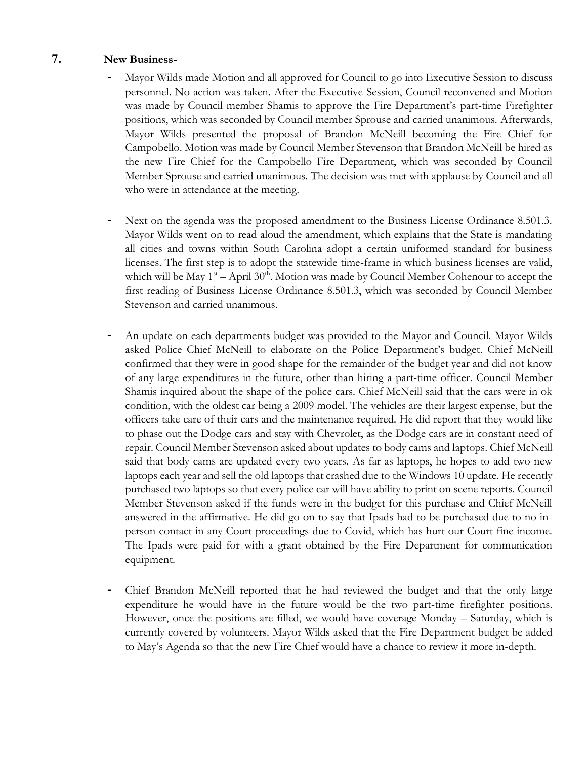#### **7. New Business-**

- Mayor Wilds made Motion and all approved for Council to go into Executive Session to discuss personnel. No action was taken. After the Executive Session, Council reconvened and Motion was made by Council member Shamis to approve the Fire Department's part-time Firefighter positions, which was seconded by Council member Sprouse and carried unanimous. Afterwards, Mayor Wilds presented the proposal of Brandon McNeill becoming the Fire Chief for Campobello. Motion was made by Council Member Stevenson that Brandon McNeill be hired as the new Fire Chief for the Campobello Fire Department, which was seconded by Council Member Sprouse and carried unanimous. The decision was met with applause by Council and all who were in attendance at the meeting.
- Next on the agenda was the proposed amendment to the Business License Ordinance 8.501.3. Mayor Wilds went on to read aloud the amendment, which explains that the State is mandating all cities and towns within South Carolina adopt a certain uniformed standard for business licenses. The first step is to adopt the statewide time-frame in which business licenses are valid, which will be May  $1<sup>st</sup> - April 30<sup>th</sup>$ . Motion was made by Council Member Cohenour to accept the first reading of Business License Ordinance 8.501.3, which was seconded by Council Member Stevenson and carried unanimous.
- An update on each departments budget was provided to the Mayor and Council. Mayor Wilds asked Police Chief McNeill to elaborate on the Police Department's budget. Chief McNeill confirmed that they were in good shape for the remainder of the budget year and did not know of any large expenditures in the future, other than hiring a part-time officer. Council Member Shamis inquired about the shape of the police cars. Chief McNeill said that the cars were in ok condition, with the oldest car being a 2009 model. The vehicles are their largest expense, but the officers take care of their cars and the maintenance required. He did report that they would like to phase out the Dodge cars and stay with Chevrolet, as the Dodge cars are in constant need of repair. Council Member Stevenson asked about updates to body cams and laptops. Chief McNeill said that body cams are updated every two years. As far as laptops, he hopes to add two new laptops each year and sell the old laptops that crashed due to the Windows 10 update. He recently purchased two laptops so that every police car will have ability to print on scene reports. Council Member Stevenson asked if the funds were in the budget for this purchase and Chief McNeill answered in the affirmative. He did go on to say that Ipads had to be purchased due to no inperson contact in any Court proceedings due to Covid, which has hurt our Court fine income. The Ipads were paid for with a grant obtained by the Fire Department for communication equipment.
- Chief Brandon McNeill reported that he had reviewed the budget and that the only large expenditure he would have in the future would be the two part-time firefighter positions. However, once the positions are filled, we would have coverage Monday – Saturday, which is currently covered by volunteers. Mayor Wilds asked that the Fire Department budget be added to May's Agenda so that the new Fire Chief would have a chance to review it more in-depth.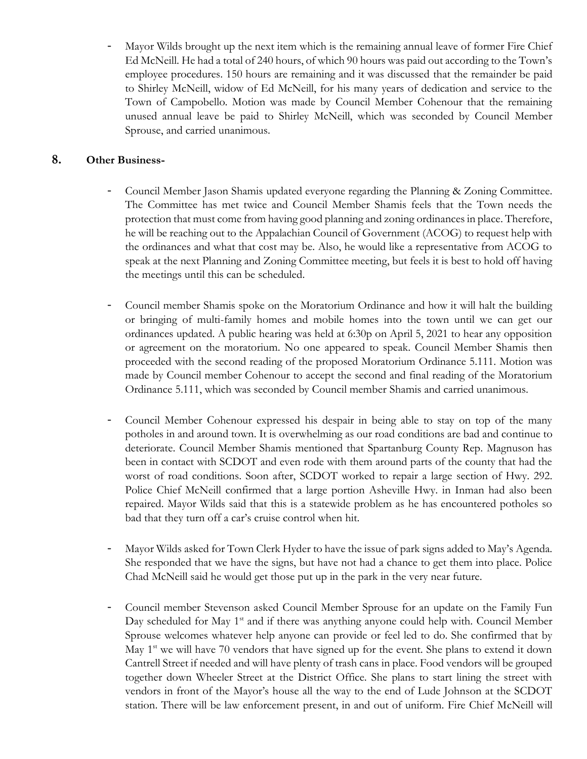Mayor Wilds brought up the next item which is the remaining annual leave of former Fire Chief Ed McNeill. He had a total of 240 hours, of which 90 hours was paid out according to the Town's employee procedures. 150 hours are remaining and it was discussed that the remainder be paid to Shirley McNeill, widow of Ed McNeill, for his many years of dedication and service to the Town of Campobello. Motion was made by Council Member Cohenour that the remaining unused annual leave be paid to Shirley McNeill, which was seconded by Council Member Sprouse, and carried unanimous.

### **8. Other Business-**

- Council Member Jason Shamis updated everyone regarding the Planning & Zoning Committee. The Committee has met twice and Council Member Shamis feels that the Town needs the protection that must come from having good planning and zoning ordinances in place. Therefore, he will be reaching out to the Appalachian Council of Government (ACOG) to request help with the ordinances and what that cost may be. Also, he would like a representative from ACOG to speak at the next Planning and Zoning Committee meeting, but feels it is best to hold off having the meetings until this can be scheduled.
- Council member Shamis spoke on the Moratorium Ordinance and how it will halt the building or bringing of multi-family homes and mobile homes into the town until we can get our ordinances updated. A public hearing was held at 6:30p on April 5, 2021 to hear any opposition or agreement on the moratorium. No one appeared to speak. Council Member Shamis then proceeded with the second reading of the proposed Moratorium Ordinance 5.111. Motion was made by Council member Cohenour to accept the second and final reading of the Moratorium Ordinance 5.111, which was seconded by Council member Shamis and carried unanimous.
- Council Member Cohenour expressed his despair in being able to stay on top of the many potholes in and around town. It is overwhelming as our road conditions are bad and continue to deteriorate. Council Member Shamis mentioned that Spartanburg County Rep. Magnuson has been in contact with SCDOT and even rode with them around parts of the county that had the worst of road conditions. Soon after, SCDOT worked to repair a large section of Hwy. 292. Police Chief McNeill confirmed that a large portion Asheville Hwy. in Inman had also been repaired. Mayor Wilds said that this is a statewide problem as he has encountered potholes so bad that they turn off a car's cruise control when hit.
- Mayor Wilds asked for Town Clerk Hyder to have the issue of park signs added to May's Agenda. She responded that we have the signs, but have not had a chance to get them into place. Police Chad McNeill said he would get those put up in the park in the very near future.
- Council member Stevenson asked Council Member Sprouse for an update on the Family Fun Day scheduled for May 1<sup>st</sup> and if there was anything anyone could help with. Council Member Sprouse welcomes whatever help anyone can provide or feel led to do. She confirmed that by May  $1<sup>st</sup>$  we will have 70 vendors that have signed up for the event. She plans to extend it down Cantrell Street if needed and will have plenty of trash cans in place. Food vendors will be grouped together down Wheeler Street at the District Office. She plans to start lining the street with vendors in front of the Mayor's house all the way to the end of Lude Johnson at the SCDOT station. There will be law enforcement present, in and out of uniform. Fire Chief McNeill will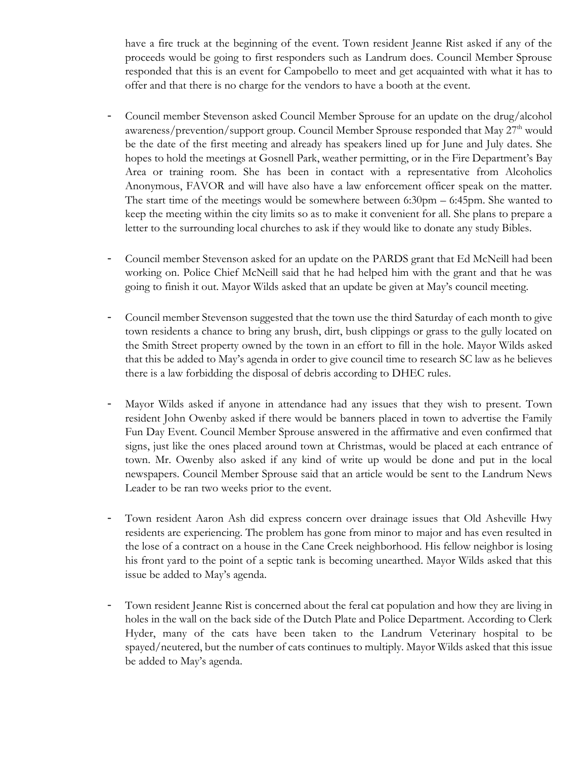have a fire truck at the beginning of the event. Town resident Jeanne Rist asked if any of the proceeds would be going to first responders such as Landrum does. Council Member Sprouse responded that this is an event for Campobello to meet and get acquainted with what it has to offer and that there is no charge for the vendors to have a booth at the event.

- Council member Stevenson asked Council Member Sprouse for an update on the drug/alcohol awareness/prevention/support group. Council Member Sprouse responded that May 27<sup>th</sup> would be the date of the first meeting and already has speakers lined up for June and July dates. She hopes to hold the meetings at Gosnell Park, weather permitting, or in the Fire Department's Bay Area or training room. She has been in contact with a representative from Alcoholics Anonymous, FAVOR and will have also have a law enforcement officer speak on the matter. The start time of the meetings would be somewhere between 6:30pm – 6:45pm. She wanted to keep the meeting within the city limits so as to make it convenient for all. She plans to prepare a letter to the surrounding local churches to ask if they would like to donate any study Bibles.
- Council member Stevenson asked for an update on the PARDS grant that Ed McNeill had been working on. Police Chief McNeill said that he had helped him with the grant and that he was going to finish it out. Mayor Wilds asked that an update be given at May's council meeting.
- Council member Stevenson suggested that the town use the third Saturday of each month to give town residents a chance to bring any brush, dirt, bush clippings or grass to the gully located on the Smith Street property owned by the town in an effort to fill in the hole. Mayor Wilds asked that this be added to May's agenda in order to give council time to research SC law as he believes there is a law forbidding the disposal of debris according to DHEC rules.
- Mayor Wilds asked if anyone in attendance had any issues that they wish to present. Town resident John Owenby asked if there would be banners placed in town to advertise the Family Fun Day Event. Council Member Sprouse answered in the affirmative and even confirmed that signs, just like the ones placed around town at Christmas, would be placed at each entrance of town. Mr. Owenby also asked if any kind of write up would be done and put in the local newspapers. Council Member Sprouse said that an article would be sent to the Landrum News Leader to be ran two weeks prior to the event.
- Town resident Aaron Ash did express concern over drainage issues that Old Asheville Hwy residents are experiencing. The problem has gone from minor to major and has even resulted in the lose of a contract on a house in the Cane Creek neighborhood. His fellow neighbor is losing his front yard to the point of a septic tank is becoming unearthed. Mayor Wilds asked that this issue be added to May's agenda.
- Town resident Jeanne Rist is concerned about the feral cat population and how they are living in holes in the wall on the back side of the Dutch Plate and Police Department. According to Clerk Hyder, many of the cats have been taken to the Landrum Veterinary hospital to be spayed/neutered, but the number of cats continues to multiply. Mayor Wilds asked that this issue be added to May's agenda.